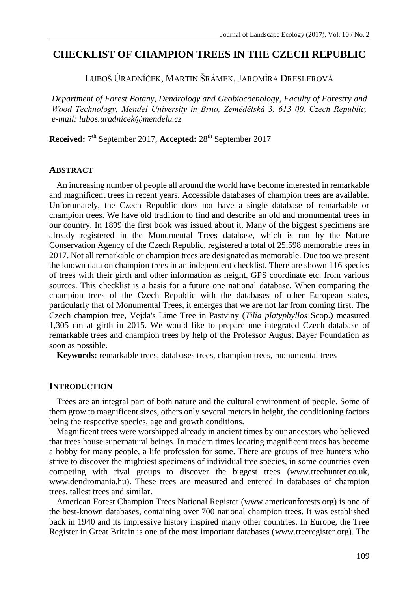# **CHECKLIST OF CHAMPION TREES IN THE CZECH REPUBLIC**

LUBOŠ ÚRADNÍČEK, MARTIN ŠRÁMEK, JAROMÍRA DRESLEROVÁ

*Department of Forest Botany, Dendrology and Geobiocoenology, Faculty of Forestry and Wood Technology, Mendel University in Brno, Zemědělská 3, 613 00, Czech Republic, e-mail: lubos.uradnicek@mendelu.cz*

**Received:** 7 th September 2017, **Accepted:** 28th September 2017

#### **ABSTRACT**

An increasing number of people all around the world have become interested in remarkable and magnificent trees in recent years. Accessible databases of champion trees are available. Unfortunately, the Czech Republic does not have a single database of remarkable or champion trees. We have old tradition to find and describe an old and monumental trees in our country. In 1899 the first book was issued about it. Many of the biggest specimens are already registered in the Monumental Trees database, which is run by the Nature Conservation Agency of the Czech Republic, registered a total of 25,598 memorable trees in 2017. Not all remarkable or champion trees are designated as memorable. Due too we present the known data on champion trees in an independent checklist. There are shown 116 species of trees with their girth and other information as height, GPS coordinate etc. from various sources. This checklist is a basis for a future one national database. When comparing the champion trees of the Czech Republic with the databases of other European states, particularly that of Monumental Trees, it emerges that we are not far from coming first. The Czech champion tree, Vejda's Lime Tree in Pastviny (*Tilia platyphyllos* Scop.) measured 1,305 cm at girth in 2015. We would like to prepare one integrated Czech database of remarkable trees and champion trees by help of the Professor August Bayer Foundation as soon as possible.

**Keywords:** remarkable trees, databases trees, champion trees, monumental trees

#### **INTRODUCTION**

Trees are an integral part of both nature and the cultural environment of people. Some of them grow to magnificent sizes, others only several meters in height, the conditioning factors being the respective species, age and growth conditions.

Magnificent trees were worshipped already in ancient times by our ancestors who believed that trees house supernatural beings. In modern times locating magnificent trees has become a hobby for many people, a life profession for some. There are groups of tree hunters who strive to discover the mightiest specimens of individual tree species, in some countries even competing with rival groups to discover the biggest trees (www.treehunter.co.uk, www.dendromania.hu). These trees are measured and entered in databases of champion trees, tallest trees and similar.

American Forest Champion Trees National Register (www.americanforests.org) is one of the best-known databases, containing over 700 national champion trees. It was established back in 1940 and its impressive history inspired many other countries. In Europe, the Tree Register in Great Britain is one of the most important databases (www.treeregister.org). The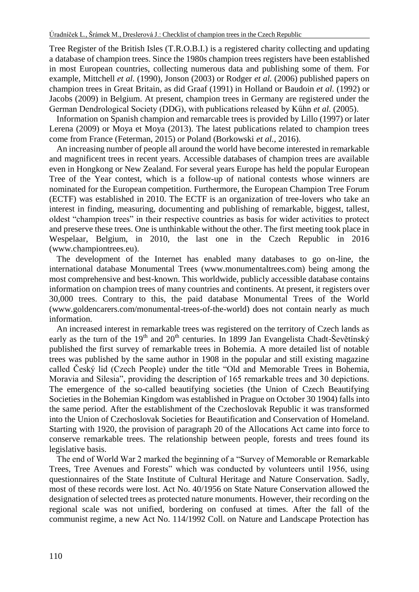Tree Register of the British Isles (T.R.O.B.I.) is a registered charity collecting and updating a database of champion trees. Since the 1980s champion trees registers have been established in most European countries, collecting numerous data and publishing some of them. For example, Mittchell *et al.* (1990), Jonson (2003) or Rodger *et al.* (2006) published papers on champion trees in Great Britain, as did Graaf (1991) in Holland or Baudoin *et al.* (1992) or Jacobs (2009) in Belgium. At present, champion trees in Germany are registered under the German Dendrological Society (DDG), with publications released by Kűhn *et al.* (2005).

Information on Spanish champion and remarcable trees is provided by Lillo (1997) or later Lerena (2009) or Moya et Moya (2013). The latest publications related to champion trees come from France (Feterman, 2015) or Poland (Borkowski *et al.*, 2016).

An increasing number of people all around the world have become interested in remarkable and magnificent trees in recent years. Accessible databases of champion trees are available even in Hongkong or New Zealand. For several years Europe has held the popular European Tree of the Year contest, which is a follow-up of national contests whose winners are nominated for the European competition. Furthermore, the European Champion Tree Forum (ECTF) was established in 2010. The ECTF is an organization of tree-lovers who take an interest in finding, measuring, documenting and publishing of remarkable, biggest, tallest, oldest "champion trees" in their respective countries as basis for wider activities to protect and preserve these trees. One is unthinkable without the other. The first meeting took place in Wespelaar, Belgium, in 2010, the last one in the Czech Republic in 2016 [\(www.championtrees.eu\)](http://www.championtrees.eu/).

The development of the Internet has enabled many databases to go on-line, the international database Monumental Trees [\(www.monumentaltrees.com\)](http://www.monumentaltrees.com/) being among the most comprehensive and best-known. This worldwide, publicly accessible database contains information on champion trees of many countries and continents. At present, it registers over 30,000 trees. Contrary to this, the paid database Monumental Trees of the World [\(www.goldencarers.com/monumental-trees-of-the-world\)](http://www.goldencarers.com/monumental-trees-of-the-world) does not contain nearly as much information.

An increased interest in remarkable trees was registered on the territory of Czech lands as early as the turn of the 19<sup>th</sup> and 20<sup>th</sup> centuries. In 1899 Jan Evangelista Chadt-Ševětínský published the first survey of remarkable trees in Bohemia. A more detailed list of notable trees was published by the same author in 1908 in the popular and still existing magazine called Český lid (Czech People) under the title "Old and Memorable Trees in Bohemia, Moravia and Silesia", providing the description of 165 remarkable trees and 30 depictions. The emergence of the so-called beautifying societies (the Union of Czech Beautifying Societies in the Bohemian Kingdom was established in Prague on October 30 1904) falls into the same period. After the establishment of the Czechoslovak Republic it was transformed into the Union of Czechoslovak Societies for Beautification and Conservation of Homeland. Starting with 1920, the provision of paragraph 20 of the Allocations Act came into force to conserve remarkable trees. The relationship between people, forests and trees found its legislative basis.

The end of World War 2 marked the beginning of a "Survey of Memorable or Remarkable Trees, Tree Avenues and Forests" which was conducted by volunteers until 1956, using questionnaires of the State Institute of Cultural Heritage and Nature Conservation. Sadly, most of these records were lost. Act No. 40/1956 on State Nature Conservation allowed the designation of selected trees as protected nature monuments. However, their recording on the regional scale was not unified, bordering on confused at times. After the fall of the communist regime, a new Act No. 114/1992 Coll. on Nature and Landscape Protection has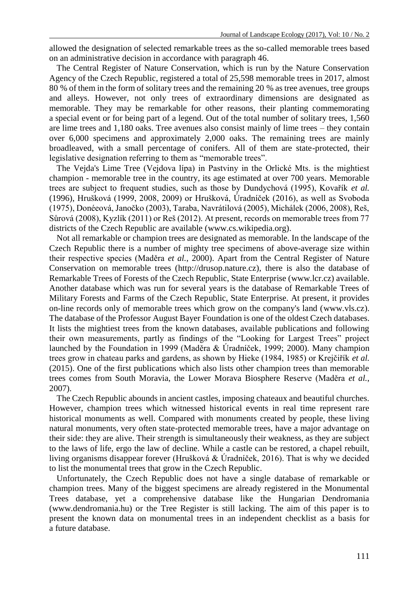allowed the designation of selected remarkable trees as the so-called memorable trees based on an administrative decision in accordance with paragraph 46.

The Central Register of Nature Conservation, which is run by the Nature Conservation Agency of the Czech Republic, registered a total of 25,598 memorable trees in 2017, almost 80 % of them in the form of solitary trees and the remaining 20 % as tree avenues, tree groups and alleys. However, not only trees of extraordinary dimensions are designated as memorable. They may be remarkable for other reasons, their planting commemorating a special event or for being part of a legend. Out of the total number of solitary trees, 1,560 are lime trees and 1,180 oaks. Tree avenues also consist mainly of lime trees – they contain over 6,000 specimens and approximately 2,000 oaks. The remaining trees are mainly broadleaved, with a small percentage of conifers. All of them are state-protected, their legislative designation referring to them as "memorable trees".

The Vejda's Lime Tree (Vejdova lípa) in Pastviny in the Orlické Mts. is the mightiest champion - memorable tree in the country, its age estimated at over 700 years. Memorable trees are subject to frequent studies, such as those by Dundychová (1995), Kovařík *et al.* (1996), Hrušková (1999, 2008, 2009) or Hrušková, Úradníček (2016), as well as Svoboda (1975), Donéeová, Janočko (2003), Taraba, Navrátilová (2005), Michálek (2006, 2008), Reš, Sůrová (2008), Kyzlík (2011) or Reš (2012). At present, records on memorable trees from 77 districts of the Czech Republic are available [\(www.cs.wikipedia.org\)](http://www.cs.wikipedia.org/).

Not all remarkable or champion trees are designated as memorable. In the landscape of the Czech Republic there is a number of mighty tree specimens of above-average size within their respective species (Maděra *et al.*, 2000). Apart from the Central Register of Nature Conservation on memorable trees [\(http://drusop.nature.cz\)](http://drusop.nature.cz/), there is also the database of Remarkable Trees of Forests of the Czech Republic, State Enterprise [\(www.lcr.cz\)](http://www.lcr.cz/) available. Another database which was run for several years is the database of Remarkable Trees of Military Forests and Farms of the Czech Republic, State Enterprise. At present, it provides on-line records only of memorable trees which grow on the company's land [\(www.vls.cz\)](http://www.vls.cz/). The database of the Professor August Bayer Foundation is one of the oldest Czech databases. It lists the mightiest trees from the known databases, available publications and following their own measurements, partly as findings of the "Looking for Largest Trees" project launched by the Foundation in 1999 (Maděra & Úradníček, 1999; 2000). Many champion trees grow in chateau parks and gardens, as shown by Hieke (1984, 1985) or Krejčiřík *et al.* (2015). One of the first publications which also lists other champion trees than memorable trees comes from South Moravia, the Lower Morava Biosphere Reserve (Maděra *et al.*, 2007).

The Czech Republic abounds in ancient castles, imposing chateaux and beautiful churches. However, champion trees which witnessed historical events in real time represent rare historical monuments as well. Compared with monuments created by people, these living natural monuments, very often state-protected memorable trees, have a major advantage on their side: they are alive. Their strength is simultaneously their weakness, as they are subject to the laws of life, ergo the law of decline. While a castle can be restored, a chapel rebuilt, living organisms disappear forever (Hrušková & Úradníček, 2016). That is why we decided to list the monumental trees that grow in the Czech Republic.

Unfortunately, the Czech Republic does not have a single database of remarkable or champion trees. Many of the biggest specimens are already registered in the Monumental Trees database, yet a comprehensive database like the Hungarian Dendromania [\(www.dendromania.hu\)](http://www.dendromania.hu/) or the Tree Register is still lacking. The aim of this paper is to present the known data on monumental trees in an independent checklist as a basis for a future database.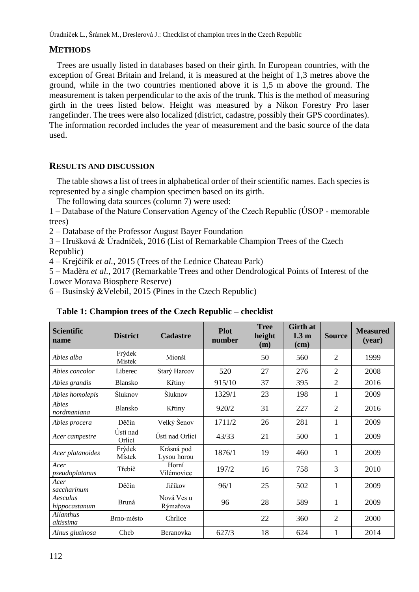### **METHODS**

Trees are usually listed in databases based on their girth. In European countries, with the exception of Great Britain and Ireland, it is measured at the height of 1,3 metres above the ground, while in the two countries mentioned above it is 1,5 m above the ground. The measurement is taken perpendicular to the axis of the trunk. This is the method of measuring girth in the trees listed below. Height was measured by a Nikon Forestry Pro laser rangefinder. The trees were also localized (district, cadastre, possibly their GPS coordinates). The information recorded includes the year of measurement and the basic source of the data used.

#### **RESULTS AND DISCUSSION**

The table shows a list of trees in alphabetical order of their scientific names. Each species is represented by a single champion specimen based on its girth.

The following data sources (column 7) were used:

1 – Database of the Nature Conservation Agency of the Czech Republic (ÚSOP - memorable trees)

2 – Database of the Professor August Bayer Foundation

3 – Hrušková & Úradníček, 2016 (List of Remarkable Champion Trees of the Czech Republic)

4 – Krejčiřík *et al.*, 2015 (Trees of the Lednice Chateau Park)

5 – Maděra *et al.*, 2017 (Remarkable Trees and other Dendrological Points of Interest of the Lower Morava Biosphere Reserve)

6 – Businský &Velebil, 2015 (Pines in the Czech Republic)

| <b>Scientific</b><br>name | <b>District</b>    | Cadastre                  | <b>Plot</b><br>number | <b>Tree</b><br>height<br>(m) | <b>Girth at</b><br>1.3 <sub>m</sub><br>(cm) | <b>Source</b>  | <b>Measured</b><br>(year) |
|---------------------------|--------------------|---------------------------|-----------------------|------------------------------|---------------------------------------------|----------------|---------------------------|
| Abies alba                | Frýdek<br>Místek   | Mionší                    |                       | 50                           | 560                                         | 2              | 1999                      |
| Abies concolor            | Liberec            | Starý Harcov              | 520                   | 27                           | 276                                         | $\overline{c}$ | 2008                      |
| Abies grandis             | <b>Blansko</b>     | Křtiny                    | 915/10                | 37                           | 395                                         | $\overline{c}$ | 2016                      |
| Abies homolepis           | Šluknov            | Šluknov                   | 1329/1                | 23                           | 198                                         | 1              | 2009                      |
| Abies<br>nordmaniana      | <b>Blansko</b>     | Křtiny                    | 920/2                 | 31                           | 227                                         | $\overline{2}$ | 2016                      |
| Abies procera             | Děčín              | Velký Šenov               | 1711/2                | 26                           | 281                                         | 1              | 2009                      |
| Acer campestre            | Ústí nad<br>Orlicí | Ústí nad Orlicí           | 43/33                 | 21                           | 500                                         | 1              | 2009                      |
| Acer platanoides          | Frýdek<br>Místek   | Krásná pod<br>Lysou horou | 1876/1                | 19                           | 460                                         | 1              | 2009                      |
| Acer<br>pseudoplatanus    | Třebíč             | Horní<br>Vilémovice       | 197/2                 | 16                           | 758                                         | 3              | 2010                      |
| Acer<br>saccharinum       | Děčín              | Jiříkov                   | 96/1                  | 25                           | 502                                         | 1              | 2009                      |
| Aesculus<br>hippocastanum | <b>Bruná</b>       | Nová Ves u<br>Rýmařova    | 96                    | 28                           | 589                                         | 1              | 2009                      |
| Ailanthus<br>altissima    | Brno-město         | Chrlice                   |                       | 22                           | 360                                         | 2              | 2000                      |
| Alnus glutinosa           | Cheb               | Beranovka                 | 627/3                 | 18                           | 624                                         | 1              | 2014                      |

**Table 1: Champion trees of the Czech Republic – checklist**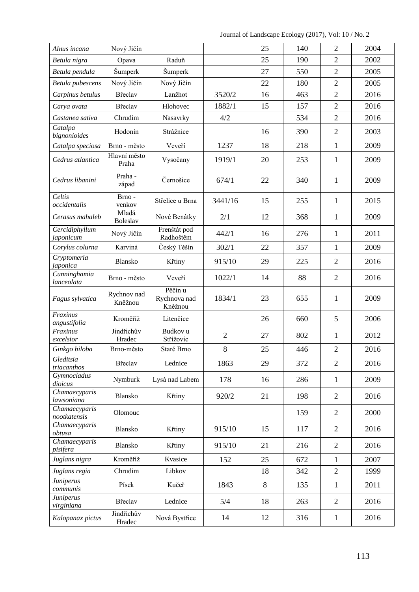| Alnus incana                  | Nový Jičín               |                                    |                | 25 | 140 | 2                | 2004 |
|-------------------------------|--------------------------|------------------------------------|----------------|----|-----|------------------|------|
| Betula nigra                  | Opava                    | Raduň                              |                | 25 | 190 | 2                | 2002 |
| Betula pendula                | Šumperk                  | Šumperk                            |                | 27 | 550 | $\overline{c}$   | 2005 |
| Betula pubescens              | Nový Jičín               | Nový Jičín                         |                | 22 | 180 | $\overline{c}$   | 2005 |
| Carpinus betulus              | Břeclav                  | Lanžhot                            | 3520/2         | 16 | 463 | 2                | 2016 |
| Carya ovata                   | <b>Břeclav</b>           | Hlohovec                           | 1882/1         | 15 | 157 | $\overline{2}$   | 2016 |
| Castanea sativa               | Chrudim                  | Nasavrky                           | 4/2            |    | 534 | $\overline{2}$   | 2016 |
| Catalpa<br>bignonioides       | Hodonín                  | Strážnice                          |                | 16 | 390 | $\overline{c}$   | 2003 |
| Catalpa speciosa              | Brno - město             | Veveří                             | 1237           | 18 | 218 | $\mathbf{1}$     | 2009 |
| Cedrus atlantica              | Hlavní město<br>Praha    | Vysočany                           | 1919/1         | 20 | 253 | $\mathbf{1}$     | 2009 |
| Cedrus libanini               | Praha -<br>západ         | Černošice                          | 674/1          | 22 | 340 | 1                | 2009 |
| Celtis<br>occidentalis        | Brno-<br>venkov          | Střelice u Brna                    | 3441/16        | 15 | 255 | $\mathbf{1}$     | 2015 |
| Cerasus mahaleb               | Mladá<br><b>Boleslav</b> | Nové Benátky                       | 2/1            | 12 | 368 | 1                | 2009 |
| Cercidiphyllum<br>japonicum   | Nový Jičín               | Frenštát pod<br>Radhoštěm          | 442/1          | 16 | 276 | 1                | 2011 |
| Corylus colurna               | Karviná                  | Český Těšín                        | 302/1          | 22 | 357 | $\mathbf{1}$     | 2009 |
| Cryptomeria<br>japonica       | Blansko                  | Křtiny                             | 915/10         | 29 | 225 | 2                | 2016 |
| Cunninghamia<br>lanceolata    | Brno - město             | Veveří                             | 1022/1         | 14 | 88  | $\overline{c}$   | 2016 |
| Fagus sylvatica               | Rychnov nad<br>Kněžnou   | Pěčín u<br>Rychnova nad<br>Kněžnou | 1834/1         | 23 | 655 | 1                | 2009 |
| Fraxinus<br>angustifolia      | Kroměříž                 | Litenčice                          |                | 26 | 660 | 5                | 2006 |
| Fraxinus<br>excelsior         | Jindřichův<br>Hradec     | Budkov u<br>Střížovic              | $\overline{2}$ | 27 | 802 | $\mathbf{1}$     | 2012 |
| Ginkgo biloba                 | Brno-město               | Staré Brno                         | $\,8\,$        | 25 | 446 | 2                | 2016 |
| Gleditsia<br>triacanthos      | <b>Břeclav</b>           | Lednice                            | 1863           | 29 | 372 | 2                | 2016 |
| Gymnocladus<br>dioicus        | Nymburk                  | Lysá nad Labem                     | 178            | 16 | 286 | 1                | 2009 |
| Chamaecyparis<br>lawsoniana   | Blansko                  | Křtiny                             | 920/2          | 21 | 198 | 2                | 2016 |
| Chamaecyparis<br>nootkatensis | Olomouc                  |                                    |                |    | 159 | 2                | 2000 |
| Chamaecyparis<br>obtusa       | Blansko                  | Křtiny                             | 915/10         | 15 | 117 | $\boldsymbol{2}$ | 2016 |
| Chamaecyparis<br>pisifera     | Blansko                  | Křtiny                             | 915/10         | 21 | 216 | 2                | 2016 |
| Juglans nigra                 | Kroměříž                 | Kvasice                            | 152            | 25 | 672 | $\mathbf{1}$     | 2007 |
| Juglans regia                 | Chrudim                  | Libkov                             |                | 18 | 342 | $\sqrt{2}$       | 1999 |
| Juniperus<br>communis         | Písek                    | Kučeř                              | 1843           | 8  | 135 | $\mathbf{1}$     | 2011 |
| Juniperus<br>virginiana       | Břeclav                  | Lednice                            | 5/4            | 18 | 263 | $\overline{c}$   | 2016 |
| Kalopanax pictus              | Jindřichův<br>Hradec     | Nová Bystřice                      | 14             | 12 | 316 | $\mathbf{1}$     | 2016 |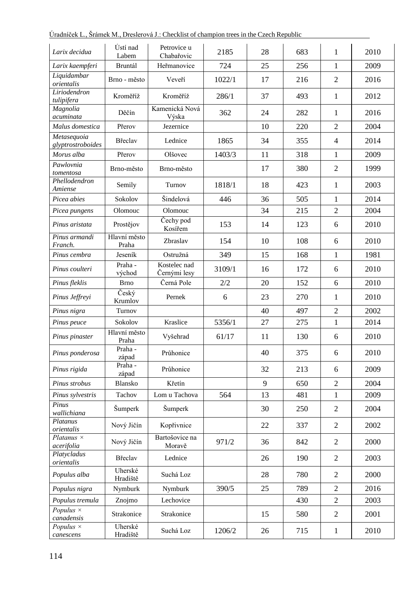Úradníček L., Šrámek M., Dreslerová J.: Checklist of champion trees in the Czech Republic

| Larix decidua                    | Ústí nad<br>Labem     | Petrovice u<br>Chabařovic    | 2185   | 28 | 683 | 1              | 2010 |
|----------------------------------|-----------------------|------------------------------|--------|----|-----|----------------|------|
| Larix kaempferi                  | Bruntál               | Heřmanovice                  | 724    | 25 | 256 | 1              | 2009 |
| Liquidambar<br>orientalis        | Brno - město          | Veveří                       | 1022/1 | 17 | 216 | $\overline{c}$ | 2016 |
| Liriodendron<br>tulipifera       | Kroměříž              | Kroměříž                     | 286/1  | 37 | 493 | $\mathbf{1}$   | 2012 |
| Magnolia<br>acuminata            | Děčín                 | Kamenická Nová<br>Výska      | 362    | 24 | 282 | 1              | 2016 |
| Malus domestica                  | Přerov                | Jezernice                    |        | 10 | 220 | 2              | 2004 |
| Metasequoia<br>glyptrostroboides | Břeclav               | Lednice                      | 1865   | 34 | 355 | $\overline{4}$ | 2014 |
| Morus alba                       | Přerov                | Olšovec                      | 1403/3 | 11 | 318 | 1              | 2009 |
| Pawlovnia<br>tomentosa           | Brno-město            | Brno-město                   |        | 17 | 380 | $\mathbf{2}$   | 1999 |
| Phellodendron<br>Amiense         | Semily                | Turnov                       | 1818/1 | 18 | 423 | 1              | 2003 |
| Picea abies                      | Sokolov               | Šindelová                    | 446    | 36 | 505 | 1              | 2014 |
| Picea pungens                    | Olomouc               | Olomouc                      |        | 34 | 215 | $\overline{c}$ | 2004 |
| Pinus aristata                   | Prostějov             | Čechy pod<br>Kosířem         | 153    | 14 | 123 | 6              | 2010 |
| Pinus armandi<br>Franch.         | Hlavní město<br>Praha | Zbraslav                     | 154    | 10 | 108 | 6              | 2010 |
| Pinus cembra                     | Jeseník               | Ostružná                     | 349    | 15 | 168 | 1              | 1981 |
| Pinus coulteri                   | Praha -<br>východ     | Kostelec nad<br>Černými lesy | 3109/1 | 16 | 172 | 6              | 2010 |
| Pinus fleklis                    | <b>Brno</b>           | Černá Pole                   | 2/2    | 20 | 152 | 6              | 2010 |
| Pinus Jeffreyi                   | Český<br>Krumlov      | Pernek                       | 6      | 23 | 270 | 1              | 2010 |
| Pinus nigra                      | Turnov                |                              |        | 40 | 497 | 2              | 2002 |
| Pinus peuce                      | Sokolov               | Kraslice                     | 5356/1 | 27 | 275 | $\mathbf{1}$   | 2014 |
| Pinus pinaster                   | Hlavní město<br>Praha | Vyšehrad                     | 61/17  | 11 | 130 | 6              | 2010 |
| Pinus ponderosa                  | Praha -<br>západ      | Průhonice                    |        | 40 | 375 | 6              | 2010 |
| Pinus rigida                     | Praha -<br>západ      | Průhonice                    |        | 32 | 213 | 6              | 2009 |
| Pinus strobus                    | Blansko               | Křetín                       |        | 9  | 650 | 2              | 2004 |
| Pinus sylvestris                 | Tachov                | Lom u Tachova                | 564    | 13 | 481 | 1              | 2009 |
| Pinus<br>wallichiana             | Šumperk               | Šumperk                      |        | 30 | 250 | 2              | 2004 |
| Platanus<br>orientalis           | Nový Jičín            | Kopřivnice                   |        | 22 | 337 | 2              | 2002 |
| $Platanus \times$<br>acerifolia  | Nový Jičín            | Bartošovice na<br>Moravě     | 971/2  | 36 | 842 | 2              | 2000 |
| Platycladus<br>orientalis        | Břeclav               | Lednice                      |        | 26 | 190 | $\overline{c}$ | 2003 |
| Populus alba                     | Uherské<br>Hradiště   | Suchá Loz                    |        | 28 | 780 | 2              | 2000 |
| Populus nigra                    | Nymburk               | Nymburk                      | 390/5  | 25 | 789 | $\overline{c}$ | 2016 |
| Populus tremula                  | Znojmo                | Lechovice                    |        |    | 430 | 2              | 2003 |
| Populus $\times$<br>canadensis   | Strakonice            | Strakonice                   |        | 15 | 580 | $\overline{c}$ | 2001 |
| Populus $\times$<br>canescens    | Uherské<br>Hradiště   | Suchá Loz                    | 1206/2 | 26 | 715 | $\mathbf{1}$   | 2010 |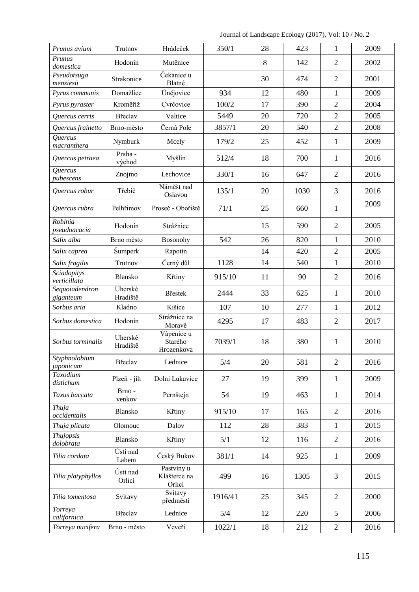Journal of Landscape Ecology (2017), Vol:  $10 / No. 2$ 

| Prunus avium                  | Trutnov             | Hrádeček                             | 350/1   | 28 | 423  | $\mathbf{1}$   | 2009 |
|-------------------------------|---------------------|--------------------------------------|---------|----|------|----------------|------|
| Prunus<br>domestica           | Hodonín             | Mutěnice                             |         | 8  | 142  | $\overline{2}$ | 2002 |
| Pseudotsuga<br>menziesii      | Strakonice          | Čekanice u<br>Blatné                 |         | 30 | 474  | $\overline{c}$ | 2001 |
| Pyrus communis                | Domažlice           | Unějovice                            | 934     | 12 | 480  | 1              | 2009 |
| Pyrus pyraster                | Kroměříž            | Cvrčovice                            | 100/2   | 17 | 390  | $\overline{2}$ | 2004 |
| Ouercus cerris                | Břeclav             | Valtice                              | 5449    | 20 | 720  | 2              | 2005 |
| Quercus frainetto             | Brno-město          | Černá Pole                           | 3857/1  | 20 | 540  | $\overline{c}$ | 2008 |
| Quercus<br>macranthera        | Nymburk             | Mcely                                | 179/2   | 25 | 452  | $\mathbf{1}$   | 2009 |
| Quercus petraea               | Praha -<br>východ   | Myšlín                               | 512/4   | 18 | 700  | $\mathbf{1}$   | 2016 |
| Quercus<br>pubescens          | Znojmo              | Lechovice                            | 330/1   | 16 | 647  | 2              | 2016 |
| Quercus robur                 | Třebíč              | Náměšt nad<br>Oslavou                | 135/1   | 20 | 1030 | 3              | 2016 |
| Quercus rubra                 | Pelhřimov           | Proseč - Obořiště                    | 71/1    | 25 | 660  | 1              | 2009 |
| Robinia<br>pseudoacacia       | Hodonín             | Strážnice                            |         | 15 | 590  | 2              | 2005 |
| Salix alba                    | Brno město          | Bosonohy                             | 542     | 26 | 820  | 1              | 2010 |
| Salix caprea                  | Šumperk             | Rapotín                              |         | 14 | 420  | $\overline{c}$ | 2005 |
| Salix fragilis                | Trutnov             | Černý důl                            | 1128    | 14 | 540  | $\mathbf{1}$   | 2010 |
| Sciadopitys<br>verticillata   | Blansko             | Křtiny                               | 915/10  | 11 | 90   | 2              | 2016 |
| Sequoiadendron<br>giganteum   | Uherské<br>Hradiště | <b>Břestek</b>                       | 2444    | 33 | 625  | $\mathbf{1}$   | 2010 |
| Sorbus aria                   | Kladno              | Kišice                               | 107     | 10 | 277  | $\mathbf{1}$   | 2012 |
| Sorbus domestica              | Hodonín             | Strážnice na<br>Moravě               | 4295    | 17 | 483  | 2              | 2017 |
| Sorbus torminalis             | Uherské<br>Hradiště | Vápenice u<br>Starého<br>Hrozenkova  | 7039/1  | 18 | 380  | 1              | 2010 |
| Styphnolobium<br>japonicum    | Břeclav             | Lednice                              | 5/4     | 20 | 581  | $\overline{2}$ | 2016 |
| Taxodium<br>distichum         | Plzeň - jih         | Dolní Lukavice                       | 27      | 19 | 399  | 1              | 2009 |
| Taxus baccata                 | Brno-<br>venkov     | Pernštejn                            | 54      | 19 | 463  | 1              | 2014 |
| Thuja<br>occidentalis         | Blansko             | Křtiny                               | 915/10  | 17 | 165  | $\overline{c}$ | 2016 |
| Thuja plicata                 | Olomouc             | Dalov                                | 112     | 28 | 383  | $\mathbf{1}$   | 2015 |
| <b>Thujopsis</b><br>dolobrata | Blansko             | Křtiny                               | 5/1     | 12 | 116  | $\sqrt{2}$     | 2016 |
| Tilia cordata                 | Ústí nad<br>Labem   | Český Bukov                          | 381/1   | 14 | 925  | $\mathbf{1}$   | 2009 |
| Tilia platyphyllos            | Ústí nad<br>Orlicí  | Pastviny u<br>Klášterce na<br>Orlicí | 499     | 16 | 1305 | 3              | 2015 |
| Tilia tomentosa               | Svitavy             | Svitavy<br>předměstí                 | 1916/41 | 25 | 345  | $\overline{c}$ | 2000 |
| Torreya<br>californica        | Břeclav             | Lednice                              | 5/4     | 12 | 220  | 5              | 2006 |
| Torreya nucifera              | Brno - město        | Veveří                               | 1022/1  | 18 | 212  | $\overline{c}$ | 2016 |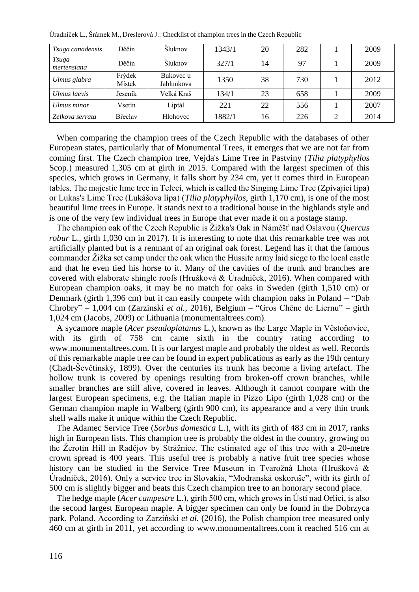| Úradníček L., Šrámek M., Dreslerová J.; Checklist of champion trees in the Czech Republic |  |
|-------------------------------------------------------------------------------------------|--|
|                                                                                           |  |

| Tsuga canadensis            | Děčín            | Šluknov                 | 1343/1 | 20 | 282 |                             | 2009 |
|-----------------------------|------------------|-------------------------|--------|----|-----|-----------------------------|------|
| <b>Tsuga</b><br>mertensiana | Děčín            | Šluknov                 | 327/1  | 14 | 97  |                             | 2009 |
| Ulmus glabra                | Frýdek<br>Místek | Bukovec u<br>Jablunkova | 1350   | 38 | 730 |                             | 2012 |
| Ulmus laevis                | Jeseník          | Velká Kraš              | 134/1  | 23 | 658 |                             | 2009 |
| Ulmus minor                 | Vsetín           | Liptál                  | 221    | 22 | 556 |                             | 2007 |
| Zelkova serrata             | <b>Břeclav</b>   | Hlohovec                | 1882/1 | 16 | 226 | $\mathcal{D}_{\mathcal{L}}$ | 2014 |

When comparing the champion trees of the Czech Republic with the databases of other European states, particularly that of Monumental Trees, it emerges that we are not far from coming first. The Czech champion tree, Vejda's Lime Tree in Pastviny (*Tilia platyphyllos* Scop.) measured 1,305 cm at girth in 2015. Compared with the largest specimen of this species, which grows in Germany, it falls short by 234 cm, yet it comes third in European tables. The majestic lime tree in Telecí, which is called the Singing Lime Tree (Zpívající lípa) or Lukas's Lime Tree (Lukášova lípa) (*Tilia platyphyllos*, girth 1,170 cm), is one of the most beautiful lime trees in Europe. It stands next to a traditional house in the highlands style and is one of the very few individual trees in Europe that ever made it on a postage stamp.

The champion oak of the Czech Republic is Žižka's Oak in Náměšť nad Oslavou (*Quercus robur* L., girth 1,030 cm in 2017). It is interesting to note that this remarkable tree was not artificially planted but is a remnant of an original oak forest. Legend has it that the famous commander Žižka set camp under the oak when the Hussite army laid siege to the local castle and that he even tied his horse to it. Many of the cavities of the trunk and branches are covered with elaborate shingle roofs (Hrušková & Úradníček, 2016). When compared with European champion oaks, it may be no match for oaks in Sweden (girth 1,510 cm) or Denmark (girth 1,396 cm) but it can easily compete with champion oaks in Poland – "Dab Chrobry" – 1,004 cm (Zarzinski *et al.*, 2016), Belgium – "Gros Chêne de Liernu" – girth 1,024 cm (Jacobs, 2009) or Lithuania (monumentaltrees.com).

A sycamore maple (*Acer pseudoplatanus* L.), known as the Large Maple in Věstoňovice, with its girth of 758 cm came sixth in the country rating according to [www.monumentaltrees.com.](http://www.monumentaltrees.com/) It is our largest maple and probably the oldest as well. Records of this remarkable maple tree can be found in expert publications as early as the 19th century (Chadt-Ševětínský, 1899). Over the centuries its trunk has become a living artefact. The hollow trunk is covered by openings resulting from broken-off crown branches, while smaller branches are still alive, covered in leaves. Although it cannot compare with the largest European specimens, e.g. the Italian maple in Pizzo Lipo (girth 1,028 cm) or the German champion maple in Walberg (girth 900 cm), its appearance and a very thin trunk shell walls make it unique within the Czech Republic.

The Adamec Service Tree (*Sorbus domestica* L.), with its girth of 483 cm in 2017, ranks high in European lists. This champion tree is probably the oldest in the country, growing on the Žerotín Hill in Radějov by Strážnice. The estimated age of this tree with a 20-metre crown spread is 400 years. This useful tree is probably a native fruit tree species whose history can be studied in the Service Tree Museum in Tvarožná Lhota (Hrušková & Úradníček, 2016). Only a service tree in Slovakia, "Modranská oskoruše", with its girth of 500 cm is slightly bigger and beats this Czech champion tree to an honorary second place.

The hedge maple (*Acer campestre* L.), girth 500 cm, which grows in Ústí nad Orlicí, is also the second largest European maple. A bigger specimen can only be found in the Dobrzyca park, Poland. According to Zarziński *et al.* (2016), the Polish champion tree measured only 460 cm at girth in 2011, yet according to [www.monumentaltrees.com](http://www.monumentaltrees.com/) it reached 516 cm at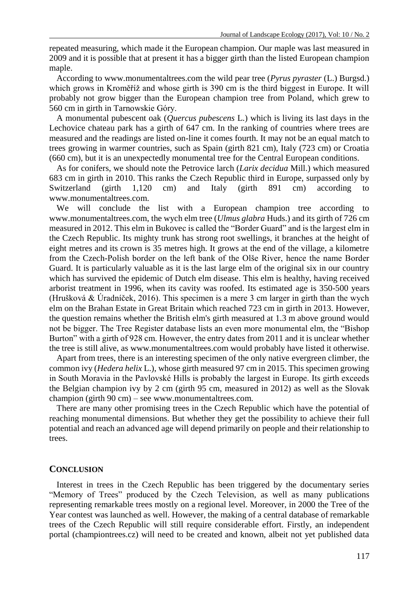repeated measuring, which made it the European champion. Our maple was last measured in 2009 and it is possible that at present it has a bigger girth than the listed European champion maple.

According to [www.monumentaltrees.com](http://www.monumentaltrees.com/) the wild pear tree (*Pyrus pyraster* (L.) Burgsd.) which grows in Kroměříž and whose girth is 390 cm is the third biggest in Europe. It will probably not grow bigger than the European champion tree from Poland, which grew to 560 cm in girth in Tarnowskie Góry.

A monumental pubescent oak (*Quercus pubescens* L.) which is living its last days in the Lechovice chateau park has a girth of 647 cm. In the ranking of countries where trees are measured and the readings are listed on-line it comes fourth. It may not be an equal match to trees growing in warmer countries, such as Spain (girth 821 cm), Italy (723 cm) or Croatia (660 cm), but it is an unexpectedly monumental tree for the Central European conditions.

As for conifers, we should note the Petrovice larch (*Larix decidua* Mill.) which measured 683 cm in girth in 2010. This ranks the Czech Republic third in Europe, surpassed only by Switzerland (girth 1,120 cm) and Italy (girth 891 cm) according to [www.monumentaltrees.com.](http://www.monumentaltrees.com/)

We will conclude the list with a European champion tree according to [www.monumentaltrees.com,](http://www.monumentaltrees.com/) the wych elm tree (*Ulmus glabra* Huds.) and its girth of 726 cm measured in 2012. This elm in Bukovec is called the "Border Guard" and is the largest elm in the Czech Republic. Its mighty trunk has strong root swellings, it branches at the height of eight metres and its crown is 35 metres high. It grows at the end of the village, a kilometre from the Czech-Polish border on the left bank of the Olše River, hence the name Border Guard. It is particularly valuable as it is the last large elm of the original six in our country which has survived the epidemic of Dutch elm disease. This elm is healthy, having received arborist treatment in 1996, when its cavity was roofed. Its estimated age is 350-500 years (Hrušková & Úradníček, 2016). This specimen is a mere 3 cm larger in girth than the wych elm on the Brahan Estate in Great Britain which reached 723 cm in girth in 2013. However, the question remains whether the British elm's girth measured at 1.3 m above ground would not be bigger. The Tree Register database lists an even more monumental elm, the "Bishop Burton" with a girth of 928 cm. However, the entry dates from 2011 and it is unclear whether the tree is still alive, as [www.monumentaltrees.com](http://www.monumentaltrees.com/) would probably have listed it otherwise.

Apart from trees, there is an interesting specimen of the only native evergreen climber, the common ivy (*Hedera helix* L.), whose girth measured 97 cm in 2015. This specimen growing in South Moravia in the Pavlovské Hills is probably the largest in Europe. Its girth exceeds the Belgian champion ivy by 2 cm (girth 95 cm, measured in 2012) as well as the Slovak champion (girth 90 cm) – see www.monumentaltrees.com.

There are many other promising trees in the Czech Republic which have the potential of reaching monumental dimensions. But whether they get the possibility to achieve their full potential and reach an advanced age will depend primarily on people and their relationship to trees.

#### **CONCLUSION**

Interest in trees in the Czech Republic has been triggered by the documentary series "Memory of Trees" produced by the Czech Television, as well as many publications representing remarkable trees mostly on a regional level. Moreover, in 2000 the Tree of the Year contest was launched as well. However, the making of a central database of remarkable trees of the Czech Republic will still require considerable effort. Firstly, an independent portal (championtrees.cz) will need to be created and known, albeit not yet published data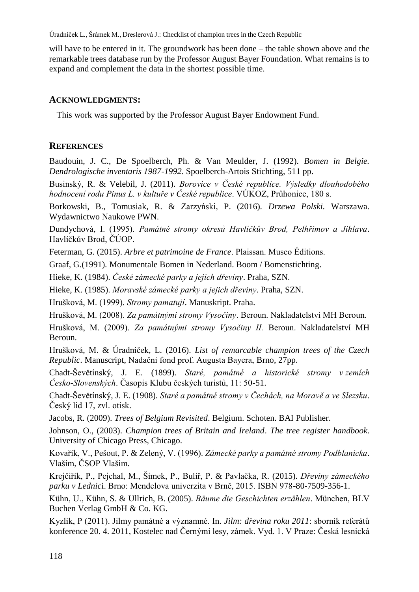will have to be entered in it. The groundwork has been done – the table shown above and the remarkable trees database run by the Professor August Bayer Foundation. What remains is to expand and complement the data in the shortest possible time.

### **ACKNOWLEDGMENTS:**

This work was supported by the Professor August Bayer Endowment Fund.

## **REFERENCES**

Baudouin, J. C., De Spoelberch, Ph. & Van Meulder, J. (1992). *Bomen in Belgie. Dendrologische inventaris 1987-1992*. Spoelberch-Artois Stichting, 511 pp.

Businský, R. & Velebil, J. (2011). *Borovice v České republice. Výsledky dlouhodobého hodnocení rodu Pinus L. v kultuře v České republice*. VÚKOZ, Průhonice, 180 s.

[Borkowski,](https://ksiegarnia.pwn.pl/autor/Krzysztof-Borkowski,a,74660530) B., [Tomusiak,](https://ksiegarnia.pwn.pl/autor/Robert-Tomusiak,a,318472192) R. & [Zarzyński,](https://ksiegarnia.pwn.pl/autor/Pawel-Zarzynski,a,74094533) P. (2016). *Drzewa Polski.* Warszawa. [Wydawnictwo Naukowe PWN.](https://ksiegarnia.pwn.pl/wydawca/Wydawnictwo-Naukowe-PWN,w,69500989)

Dundychová, I. (1995). *Památné stromy okresů Havlíčkův Brod, Pelhřimov a Jihlava*. Havlíčkův Brod, ČÚOP.

Feterman, G. (2015). *Arbre et patrimoine de France*. Plaissan. Museo Éditions.

Graaf, G.(1991). Monumentale Bomen in Nederland. Boom / Bomenstichting.

Hieke, K. (1984). *České zámecké parky a jejich dřeviny*. Praha, SZN.

Hieke, K. (1985). *Moravské zámecké parky a jejich dřeviny*. Praha, SZN.

Hrušková, M. (1999). *Stromy pamatují*. Manuskript. Praha.

Hrušková, M. (2008). *Za památnými stromy Vysočiny*. Beroun. Nakladatelství MH Beroun.

Hrušková, M. (2009). *Za památnými stromy Vysočiny II.* Beroun. Nakladatelství MH Beroun.

Hrušková, M. & Úradníček, L. (2016). *List of remarcable champion trees of the Czech Republic*. Manuscript, Nadační fond prof. Augusta Bayera, Brno, 27pp.

Chadt-Ševětínský, J. E. (1899). *Staré, památné a historické stromy v zemích Česko-Slovenských*. Časopis Klubu českých turistů, 11: 50-51.

Chadt-Ševětínský, J. E. (1908). *Staré a památné stromy v Čechách, na Moravě a ve Slezsku*. Český lid 17, zvl. otisk.

Jacobs, R. (2009). *Trees of Belgium Revisited*. Belgium. Schoten. BAI Publisher.

Johnson, O., (2003). *Champion trees of Britain and Ireland*. *The tree register handbook*. University of Chicago Press, Chicago.

Kovařík, V., Pešout, P. & Zelený, V. (1996). *Zámecké parky a památné stromy Podblanicka*. Vlaším, ČSOP Vlašim.

Krejčiřík, P., Pejchal, M., Šimek, P., Bulíř, P. & Pavlačka, R. (2015). *Dřeviny zámeckého parku v Lednic*i. Brno: Mendelova univerzita v Brně, 2015. ISBN 978-80-7509-356-1.

Kühn, U., Kühn, S. & Ullrich, B. (2005). *Bäume die Geschichten erzählen*. München, BLV Buchen Verlag GmbH & Co. KG.

Kyzlík, P (2011). Jilmy památné a významné. In. *Jilm: dřevina roku 2011*: sborník referátů konference 20. 4. 2011, Kostelec nad Černými lesy, zámek. Vyd. 1. V Praze: Česká lesnická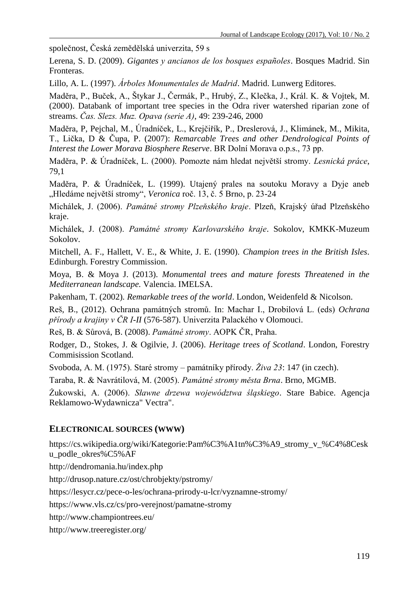společnost, Česká zemědělská univerzita, 59 s

Lerena, S. D. (2009). *Gigantes y ancianos de los bosques españoles*. Bosques Madrid. Sin Fronteras.

Lillo, A. L. (1997). *Árboles Monumentales de Madrid*. Madrid. Lunwerg Editores.

Maděra, P., Buček, A., Štykar J., Čermák, P., Hrubý, Z., Klečka, J., Král. K. & Vojtek, M. (2000). Databank of important tree species in the Odra river watershed riparian zone of streams. *Čas. Slezs. Muz. Opava (serie A)*, 49: 239-246, 2000

Maděra, P, Pejchal, M., Úradníček, L., Krejčiřík, P., Dreslerová, J., Klimánek, M., Mikita, T., Lička, D & Čupa, P. (2007): *Remarcable Trees and other Dendrological Points of Interest the Lower Morava Biosphere Reserve*. BR Dolní Morava o.p.s., 73 pp.

Maděra, P. & Úradníček, L. (2000). Pomozte nám hledat největší stromy. *Lesnická práce*, 79,1

Maděra, P. & Úradníček, L. (1999). Utajený prales na soutoku Moravy a Dyje aneb "Hledáme největší stromy", *Veronica* roč. 13, č. 5 Brno, p. 23-24

Michálek, J. (2006). *Památné stromy Plzeňského kraje*. Plzeň, Krajský úřad Plzeňského kraje.

Michálek, J. (2008). *Památné stromy Karlovarského kraje*. Sokolov, KMKK-Muzeum Sokolov.

Mitchell, A. F., Hallett, V. E., & White, J. E. (1990). *Champion trees in the British Isles*. Edinburgh. Forestry Commission.

Moya, B. & Moya J. (2013). *Monumental trees and mature forests Threatened in the Mediterranean landscape.* Valencia. IMELSA.

Pakenham, T. (2002). *Remarkable trees of the world*. London, Weidenfeld & Nicolson.

Reš, B., (2012). Ochrana památných stromů. In: Machar I., Drobilová L. (eds) *Ochrana přírody a krajiny v ČR I-II* (576-587). Univerzita Palackého v Olomouci.

Reš, B. & Sůrová, B. (2008). *Památné stromy*. AOPK ČR, Praha.

Rodger, D., Stokes, J. & Ogilvie, J. (2006). *Heritage trees of Scotland*. London, Forestry Commisission Scotland.

Svoboda, A. M. (1975). Staré stromy – památníky přírody. *Živa 23*: 147 (in czech).

Taraba, R. & Navrátilová, M. (2005). *Památné stromy města Brna*. Brno, MGMB.

Żukowski, A. (2006). *Sławne drzewa województwa śląskiego*. Stare Babice. Agencja Reklamowo-Wydawnicza" Vectra".

## **ELECTRONICAL SOURCES (WWW)**

https://cs.wikipedia.org/wiki/Kategorie:Pam%C3%A1tn%C3%A9\_stromy\_v\_%C4%8Cesk u\_podle\_okres%C5%AF

http://dendromania.hu/index.php

http://drusop.nature.cz/ost/chrobjekty/pstromy/

https://lesycr.cz/pece-o-les/ochrana-prirody-u-lcr/vyznamne-stromy/

https://www.vls.cz/cs/pro-verejnost/pamatne-stromy

http://www.championtrees.eu/

http://www.treeregister.org/